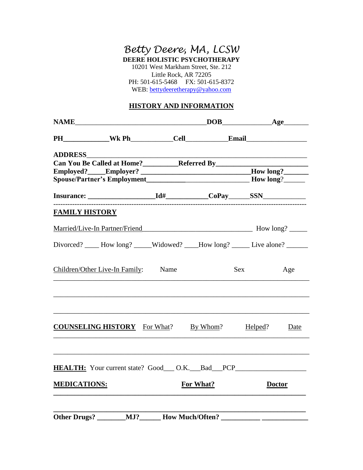## *Betty Deere, MA, LCSW* **DEERE HOLISTIC PSYCHOTHERAPY**  10201 West Markham Street, Ste. 212 Little Rock, AR 72205

PH: 501-615-5468 FX: 501-615-8372 WEB: [bettydeeretherapy@yahoo.com](mailto:bettyderetherapy@yahoo.com)

## **HISTORY AND INFORMATION**

|                       | PH______________Wk Ph____________Cell_______________Email_______________________                                                                                                                                                                           |      |          |         |      |
|-----------------------|------------------------------------------------------------------------------------------------------------------------------------------------------------------------------------------------------------------------------------------------------------|------|----------|---------|------|
| <b>ADDRESS</b>        | Can You Be Called at Home?_____________Referred By_______________________________<br>Employed?_____Employer? _______________________________How long?_________________<br>Spouse/Partner's Employment__________________________________How long?__________ |      |          |         |      |
|                       |                                                                                                                                                                                                                                                            |      |          |         |      |
| <b>FAMILY HISTORY</b> |                                                                                                                                                                                                                                                            |      |          |         |      |
|                       |                                                                                                                                                                                                                                                            |      |          |         |      |
|                       | Divorced? _____ How long? _____Widowed? ____How long? ______ Live alone? _______                                                                                                                                                                           |      |          |         |      |
|                       | Children/Other Live-In Family:                                                                                                                                                                                                                             | Name |          | Sex     | Age  |
|                       | <b>COUNSELING HISTORY</b> For What?                                                                                                                                                                                                                        |      | By Whom? | Helped? | Date |
|                       |                                                                                                                                                                                                                                                            |      |          |         |      |